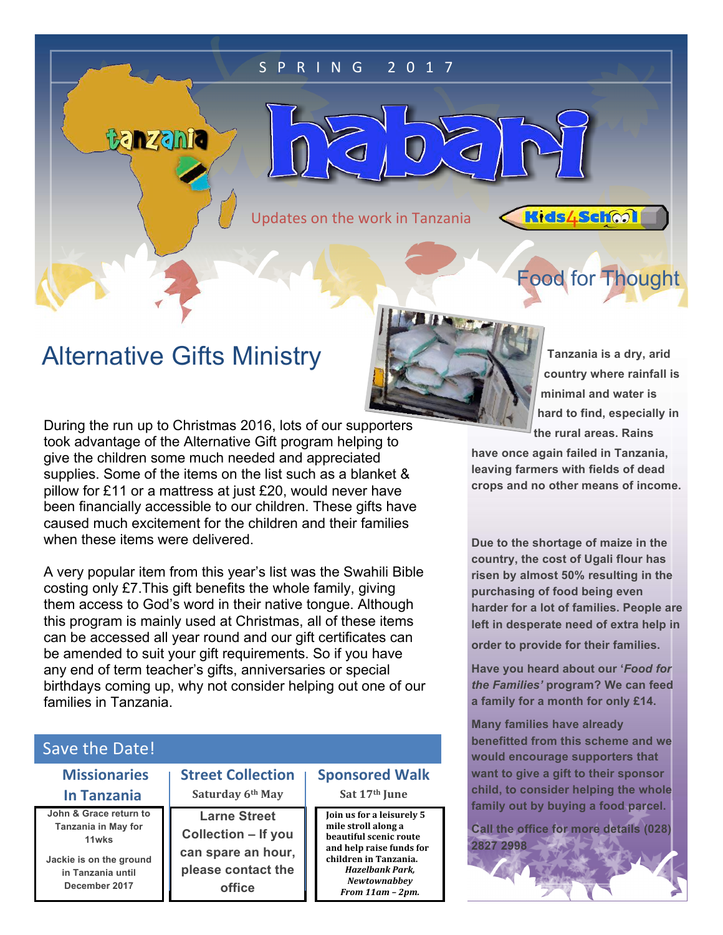#### S P R I N G 2 0 1 7

Updates on the work in Tanzania

 $\mathcal{C}$ 

**Kids4School** 

Food for Thought

## Alternative Gifts Ministry

**Banzania** 

 $\subset$ 

During the run up to Christmas 2016, lots of our supporters took advantage of the Alternative Gift program helping to give the children some much needed and appreciated supplies. Some of the items on the list such as a blanket & pillow for £11 or a mattress at just £20, would never have been financially accessible to our children. These gifts have caused much excitement for the children and their families when these items were delivered.

A very popular item from this year's list was the Swahili Bible costing only £7.This gift benefits the whole family, giving them access to God's word in their native tongue. Although this program is mainly used at Christmas, all of these items can be accessed all year round and our gift certificates can be amended to suit your gift requirements. So if you have any end of term teacher's gifts, anniversaries or special birthdays coming up, why not consider helping out one of our families in Tanzania.

#### Save the Date!

| <b>Street</b>   | <b>Missionaries</b>     |
|-----------------|-------------------------|
| <b>Saturd</b>   | <b>In Tanzania</b>      |
| Larn            | John & Grace return to  |
| <b>Collecti</b> | Tanzania in May for     |
|                 | 11wks                   |
| can spa         | Jackie is on the ground |
| please          | in Tanzania until       |
|                 | December 2017           |

**Collection Saturday 6th May**

**e** Street **Collection – If you**  re an hour, **contact the office**

**Sponsored Walk Sat 17th June**

**Join us for a leisurely 5** mile stroll along a **beautiful scenic route** and help raise funds for children in Tanzania. *Hazelbank Park, Newtownabbey From 11am – 2pm.*

**Tanzania is a dry, arid country where rainfall is minimal and water is hard to find, especially in the rural areas. Rains** 

**have once again failed in Tanzania, leaving farmers with fields of dead crops and no other means of income.**

**Due to the shortage of maize in the country, the cost of Ugali flour has risen by almost 50% resulting in the purchasing of food being even harder for a lot of families. People are left in desperate need of extra help in order to provide for their families.**

**Have you heard about our '***Food for the Families'* **program? We can feed a family for a month for only £14.** 

**Many families have already benefitted from this scheme and we would encourage supporters that want to give a gift to their sponsor child, to consider helping the whole family out by buying a food parcel.** 

**Call the office for more details (028) 2827 2998**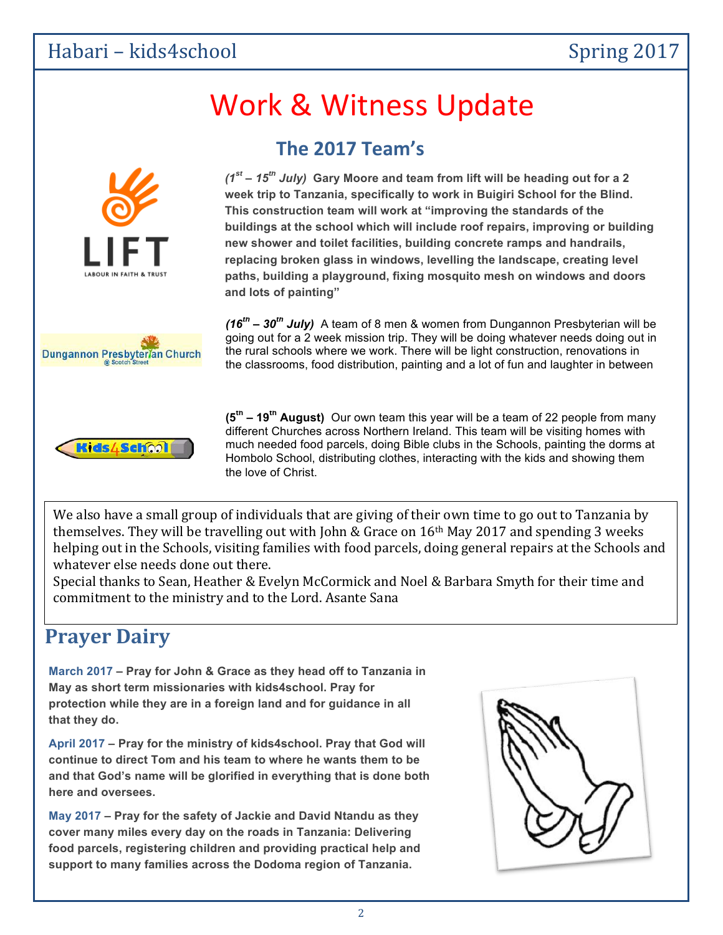### Habari – kids4school Spring 2017

# Work & Witness Update

**The 2017 Team's**



 **(1st – 15th July 2017)** *(1st – 15th July)* **Gary Moore and team from lift will be heading out for a 2 week trip to Tanzania, specifically to work in Buigiri School for the Blind. This construction team will work at "improving the standards of the buildings at the school which will include roof repairs, improving or building new shower and toilet facilities, building concrete ramps and handrails, replacing broken glass in windows, levelling the landscape, creating level paths, building a playground, fixing mosquito mesh on windows and doors and lots of painting"** 



*(16th – 30th July)* A team of 8 men & women from Dungannon Presbyterian will be going out for a 2 week mission trip. They will be doing whatever needs doing out in the rural schools where we work. There will be light construction, renovations in the classrooms, food distribution, painting and a lot of fun and laughter in between



 the love of Christ. **(5th – 19th August)** Our own team this year will be a team of 22 people from many different Churches across Northern Ireland. This team will be visiting homes with much needed food parcels, doing Bible clubs in the Schools, painting the dorms at Hombolo School, distributing clothes, interacting with the kids and showing them

We also have a small group of individuals that are giving of their own time to go out to Tanzania by themselves. They will be travelling out with John & Grace on  $16<sup>th</sup>$  May 2017 and spending 3 weeks helping out in the Schools, visiting families with food parcels, doing general repairs at the Schools and whatever else needs done out there.

Special thanks to Sean, Heather & Evelyn McCormick and Noel & Barbara Smyth for their time and commitment to the ministry and to the Lord. Asante Sana

### **Prayer Dairy**

**March 2017 – Pray for John & Grace as they head off to Tanzania in May as short term missionaries with kids4school. Pray for protection while they are in a foreign land and for guidance in all that they do.**

**April 2017 – Pray for the ministry of kids4school. Pray that God will continue to direct Tom and his team to where he wants them to be and that God's name will be glorified in everything that is done both here and oversees.**

**May 2017 – Pray for the safety of Jackie and David Ntandu as they cover many miles every day on the roads in Tanzania: Delivering food parcels, registering children and providing practical help and support to many families across the Dodoma region of Tanzania.** 

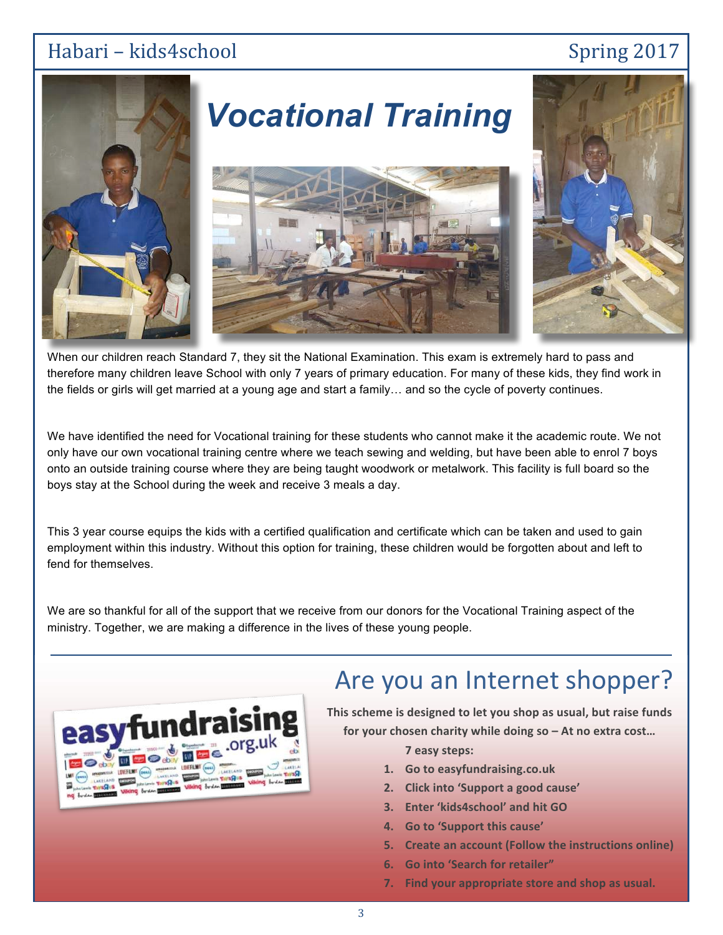#### Habari – kids4school Spring 2017



# *Vocational Training*





When our children reach Standard 7, they sit the National Examination. This exam is extremely hard to pass and therefore many children leave School with only 7 years of primary education. For many of these kids, they find work in the fields or girls will get married at a young age and start a family… and so the cycle of poverty continues.

We have identified the need for Vocational training for these students who cannot make it the academic route. We not only have our own vocational training centre where we teach sewing and welding, but have been able to enrol 7 boys onto an outside training course where they are being taught woodwork or metalwork. This facility is full board so the boys stay at the School during the week and receive 3 meals a day.

This 3 year course equips the kids with a certified qualification and certificate which can be taken and used to gain employment within this industry. Without this option for training, these children would be forgotten about and left to fend for themselves.

We are so thankful for all of the support that we receive from our donors for the Vocational Training aspect of the ministry. Together, we are making a difference in the lives of these young people.



## Are you an Internet shopper?

This scheme is designed to let you shop as usual, but raise funds for your chosen charity while doing so – At no extra cost...

**7 easy steps:**

- **1. Go to easyfundraising.co.uk**
- **2. Click into 'Support a good cause'**
- **3. Enter 'kids4school' and hit GO**
- **4. Go to 'Support this cause'**
- **5. Create an account (Follow the instructions online)**
- **6.** Go into 'Search for retailer"
- **7.** Find your appropriate store and shop as usual.